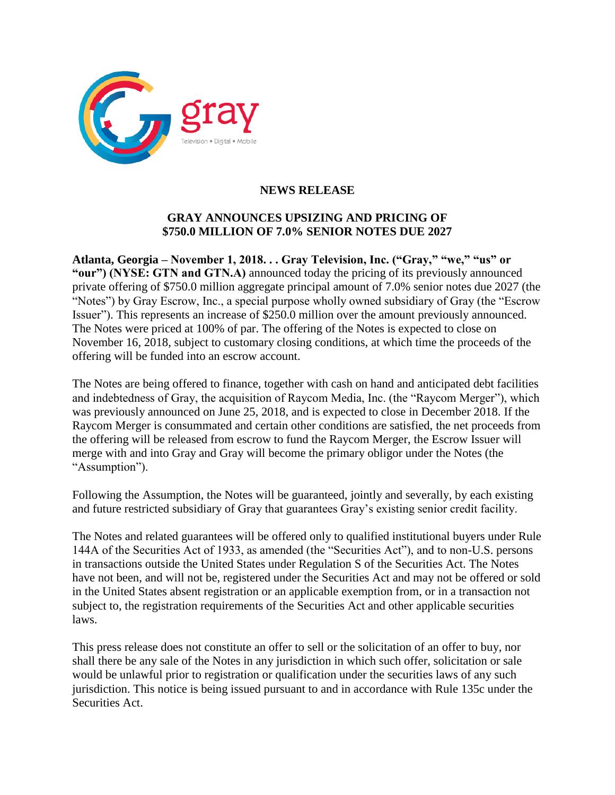

## **NEWS RELEASE**

## **GRAY ANNOUNCES UPSIZING AND PRICING OF \$750.0 MILLION OF 7.0% SENIOR NOTES DUE 2027**

**Atlanta, Georgia – November 1, 2018. . . Gray Television, Inc. ("Gray," "we," "us" or "our") (NYSE: GTN and GTN.A)** announced today the pricing of its previously announced private offering of \$750.0 million aggregate principal amount of 7.0% senior notes due 2027 (the "Notes") by Gray Escrow, Inc., a special purpose wholly owned subsidiary of Gray (the "Escrow Issuer"). This represents an increase of \$250.0 million over the amount previously announced. The Notes were priced at 100% of par. The offering of the Notes is expected to close on November 16, 2018, subject to customary closing conditions, at which time the proceeds of the offering will be funded into an escrow account.

The Notes are being offered to finance, together with cash on hand and anticipated debt facilities and indebtedness of Gray, the acquisition of Raycom Media, Inc. (the "Raycom Merger"), which was previously announced on June 25, 2018, and is expected to close in December 2018. If the Raycom Merger is consummated and certain other conditions are satisfied, the net proceeds from the offering will be released from escrow to fund the Raycom Merger, the Escrow Issuer will merge with and into Gray and Gray will become the primary obligor under the Notes (the "Assumption").

Following the Assumption, the Notes will be guaranteed, jointly and severally, by each existing and future restricted subsidiary of Gray that guarantees Gray's existing senior credit facility.

The Notes and related guarantees will be offered only to qualified institutional buyers under Rule 144A of the Securities Act of 1933, as amended (the "Securities Act"), and to non-U.S. persons in transactions outside the United States under Regulation S of the Securities Act. The Notes have not been, and will not be, registered under the Securities Act and may not be offered or sold in the United States absent registration or an applicable exemption from, or in a transaction not subject to, the registration requirements of the Securities Act and other applicable securities laws.

This press release does not constitute an offer to sell or the solicitation of an offer to buy, nor shall there be any sale of the Notes in any jurisdiction in which such offer, solicitation or sale would be unlawful prior to registration or qualification under the securities laws of any such jurisdiction. This notice is being issued pursuant to and in accordance with Rule 135c under the Securities Act.